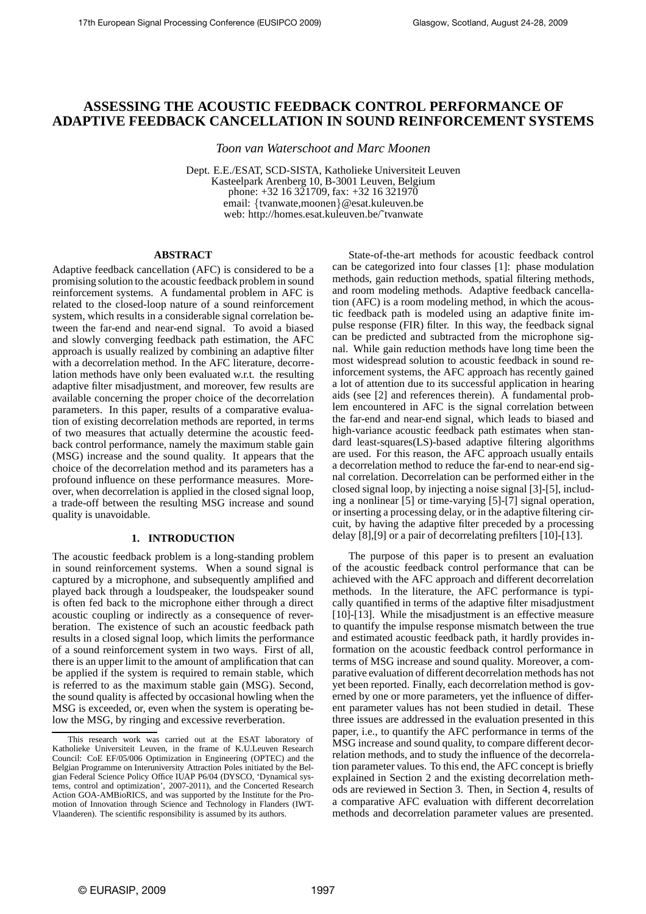# **ASSESSING THE ACOUSTIC FEEDBACK CONTROL PERFORMANCE OF ADAPTIVE FEEDBACK CANCELLATION IN SOUND REINFORCEMENT SYSTEMS**

*Toon van Waterschoot and Marc Moonen*

Dept. E.E./ESAT, SCD-SISTA, Katholieke Universiteit Leuven Kasteelpark Arenberg 10, B-3001 Leuven, Belgium phone: +32 16 321709, fax: +32 16 321970 email: {tvanwate,moonen}@esat.kuleuven.be web: http://homes.esat.kuleuven.be/˜tvanwate

# **ABSTRACT**

Adaptive feedback cancellation (AFC) is considered to be a promising solution to the acoustic feedback problem in sound reinforcement systems. A fundamental problem in AFC is related to the closed-loop nature of a sound reinforcement system, which results in a considerable signal correlation between the far-end and near-end signal. To avoid a biased and slowly converging feedback path estimation, the AFC approach is usually realized by combining an adaptive filter with a decorrelation method. In the AFC literature, decorrelation methods have only been evaluated w.r.t. the resulting adaptive filter misadjustment, and moreover, few results are available concerning the proper choice of the decorrelation parameters. In this paper, results of a comparative evaluation of existing decorrelation methods are reported, in terms of two measures that actually determine the acoustic feedback control performance, namely the maximum stable gain (MSG) increase and the sound quality. It appears that the choice of the decorrelation method and its parameters has a profound influence on these performance measures. Moreover, when decorrelation is applied in the closed signal loop, a trade-off between the resulting MSG increase and sound quality is unavoidable.

### **1. INTRODUCTION**

The acoustic feedback problem is a long-standing problem in sound reinforcement systems. When a sound signal is captured by a microphone, and subsequently amplified and played back through a loudspeaker, the loudspeaker sound is often fed back to the microphone either through a direct acoustic coupling or indirectly as a consequence of reverberation. The existence of such an acoustic feedback path results in a closed signal loop, which limits the performance of a sound reinforcement system in two ways. First of all, there is an upper limit to the amount of amplification that can be applied if the system is required to remain stable, which is referred to as the maximum stable gain (MSG). Second, the sound quality is affected by occasional howling when the MSG is exceeded, or, even when the system is operating below the MSG, by ringing and excessive reverberation.

State-of-the-art methods for acoustic feedback control can be categorized into four classes [1]: phase modulation methods, gain reduction methods, spatial filtering methods, and room modeling methods. Adaptive feedback cancellation (AFC) is a room modeling method, in which the acoustic feedback path is modeled using an adaptive finite impulse response (FIR) filter. In this way, the feedback signal can be predicted and subtracted from the microphone signal. While gain reduction methods have long time been the most widespread solution to acoustic feedback in sound reinforcement systems, the AFC approach has recently gained a lot of attention due to its successful application in hearing aids (see [2] and references therein). A fundamental problem encountered in AFC is the signal correlation between the far-end and near-end signal, which leads to biased and high-variance acoustic feedback path estimates when standard least-squares(LS)-based adaptive filtering algorithms are used. For this reason, the AFC approach usually entails a decorrelation method to reduce the far-end to near-end signal correlation. Decorrelation can be performed either in the closed signal loop, by injecting a noise signal [3]-[5], including a nonlinear [5] or time-varying [5]-[7] signal operation, or inserting a processing delay, or in the adaptive filtering circuit, by having the adaptive filter preceded by a processing delay [8],[9] or a pair of decorrelating prefilters [10]-[13].

The purpose of this paper is to present an evaluation of the acoustic feedback control performance that can be achieved with the AFC approach and different decorrelation methods. In the literature, the AFC performance is typically quantified in terms of the adaptive filter misadjustment [10]-[13]. While the misadjustment is an effective measure to quantify the impulse response mismatch between the true and estimated acoustic feedback path, it hardly provides information on the acoustic feedback control performance in terms of MSG increase and sound quality. Moreover, a comparative evaluation of different decorrelation methods has not yet been reported. Finally, each decorrelation method is governed by one or more parameters, yet the influence of different parameter values has not been studied in detail. These three issues are addressed in the evaluation presented in this paper, i.e., to quantify the AFC performance in terms of the MSG increase and sound quality, to compare different decorrelation methods, and to study the influence of the decorrelation parameter values. To this end, the AFC concept is briefly explained in Section 2 and the existing decorrelation methods are reviewed in Section 3. Then, in Section 4, results of a comparative AFC evaluation with different decorrelation methods and decorrelation parameter values are presented.

This research work was carried out at the ESAT laboratory of Katholieke Universiteit Leuven, in the frame of K.U.Leuven Research Council: CoE EF/05/006 Optimization in Engineering (OPTEC) and the Belgian Programme on Interuniversity Attraction Poles initiated by the Belgian Federal Science Policy Office IUAP P6/04 (DYSCO, 'Dynamical systems, control and optimization', 2007-2011), and the Concerted Research Action GOA-AMBioRICS, and was supported by the Institute for the Promotion of Innovation through Science and Technology in Flanders (IWT-Vlaanderen). The scientific responsibility is assumed by its authors.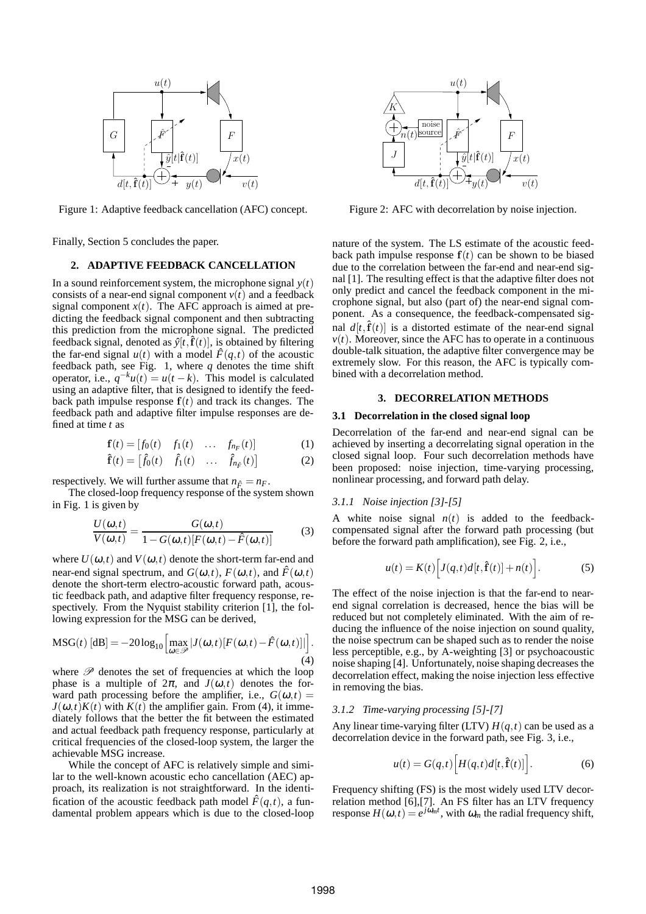

Figure 1: Adaptive feedback cancellation (AFC) concept.

Finally, Section 5 concludes the paper.

# **2. ADAPTIVE FEEDBACK CANCELLATION**

In a sound reinforcement system, the microphone signal  $y(t)$ consists of a near-end signal component  $v(t)$  and a feedback signal component  $x(t)$ . The AFC approach is aimed at predicting the feedback signal component and then subtracting this prediction from the microphone signal. The predicted feedback signal, denoted as  $\hat{y}[t,\mathbf{f}(t)]$ , is obtained by filtering the far-end signal  $u(t)$  with a model  $\hat{F}(q,t)$  of the acoustic feedback path, see Fig. 1, where  $q$  denotes the time shift operator, i.e.,  $q^{-k}u(t) = u(t - k)$ . This model is calculated using an adaptive filter, that is designed to identify the feedback path impulse response  $f(t)$  and track its changes. The feedback path and adaptive filter impulse responses are defined at time *t* as

$$
\mathbf{f}(t) = [f_0(t) \quad f_1(t) \quad \dots \quad f_{n_F}(t)] \tag{1}
$$

$$
\hat{\mathbf{f}}(t) = \begin{bmatrix} \hat{f}_0(t) & \hat{f}_1(t) & \dots & \hat{f}_{n_{\hat{F}}}(t) \end{bmatrix}
$$
 (2)

respectively. We will further assume that  $n_{\hat{F}} = n_F$ .

The closed-loop frequency response of the system shown in Fig. 1 is given by

$$
\frac{U(\omega,t)}{V(\omega,t)} = \frac{G(\omega,t)}{1 - G(\omega,t)[F(\omega,t) - \hat{F}(\omega,t)]}
$$
(3)

where  $U(\omega,t)$  and  $V(\omega,t)$  denote the short-term far-end and near-end signal spectrum, and  $G(\omega,t)$ ,  $F(\omega,t)$ , and  $\hat{F}(\omega,t)$ denote the short-term electro-acoustic forward path, acoustic feedback path, and adaptive filter frequency response, respectively. From the Nyquist stability criterion [1], the following expression for the MSG can be derived,

$$
\text{MSG}(t) \left[ \text{dB} \right] = -20 \log_{10} \left[ \max_{\omega \in \mathcal{P}} |J(\omega, t) [F(\omega, t) - \hat{F}(\omega, t)]| \right]. \tag{4}
$$

where  $P$  denotes the set of frequencies at which the loop phase is a multiple of  $2\pi$ , and  $J(\omega,t)$  denotes the forward path processing before the amplifier, i.e.,  $G(\omega,t)$  =  $J(\omega, t)K(t)$  with  $K(t)$  the amplifier gain. From (4), it immediately follows that the better the fit between the estimated and actual feedback path frequency response, particularly at critical frequencies of the closed-loop system, the larger the achievable MSG increase.

While the concept of AFC is relatively simple and similar to the well-known acoustic echo cancellation (AEC) approach, its realization is not straightforward. In the identification of the acoustic feedback path model  $\hat{F}(q,t)$ , a fundamental problem appears which is due to the closed-loop



Figure 2: AFC with decorrelation by noise injection.

nature of the system. The LS estimate of the acoustic feedback path impulse response  $f(t)$  can be shown to be biased due to the correlation between the far-end and near-end signal [1]. The resulting effect is that the adaptive filter does not only predict and cancel the feedback component in the microphone signal, but also (part of) the near-end signal component. As a consequence, the feedback-compensated signal  $d[t, \hat{f}(t)]$  is a distorted estimate of the near-end signal  $v(t)$ . Moreover, since the AFC has to operate in a continuous double-talk situation, the adaptive filter convergence may be extremely slow. For this reason, the AFC is typically combined with a decorrelation method.

# **3. DECORRELATION METHODS**

#### **3.1 Decorrelation in the closed signal loop**

Decorrelation of the far-end and near-end signal can be achieved by inserting a decorrelating signal operation in the closed signal loop. Four such decorrelation methods have been proposed: noise injection, time-varying processing, nonlinear processing, and forward path delay.

#### *3.1.1 Noise injection [3]-[5]*

A white noise signal  $n(t)$  is added to the feedbackcompensated signal after the forward path processing (but before the forward path amplification), see Fig. 2, i.e.,

$$
u(t) = K(t) \Big[ J(q,t) d[t, \hat{\mathbf{f}}(t)] + n(t) \Big]. \tag{5}
$$

The effect of the noise injection is that the far-end to nearend signal correlation is decreased, hence the bias will be reduced but not completely eliminated. With the aim of reducing the influence of the noise injection on sound quality, the noise spectrum can be shaped such as to render the noise less perceptible, e.g., by A-weighting [3] or psychoacoustic noise shaping [4]. Unfortunately, noise shaping decreases the decorrelation effect, making the noise injection less effective in removing the bias.

### *3.1.2 Time-varying processing [5]-[7]*

Any linear time-varying filter (LTV)  $H(q,t)$  can be used as a decorrelation device in the forward path, see Fig. 3, i.e.,

$$
u(t) = G(q,t) \Big[ H(q,t) d[t, \hat{\mathbf{f}}(t)] \Big]. \tag{6}
$$

Frequency shifting (FS) is the most widely used LTV decorrelation method [6],[7]. An FS filter has an LTV frequency response  $H(\omega,t) = e^{j\omega_m t}$ , with  $\omega_m$  the radial frequency shift,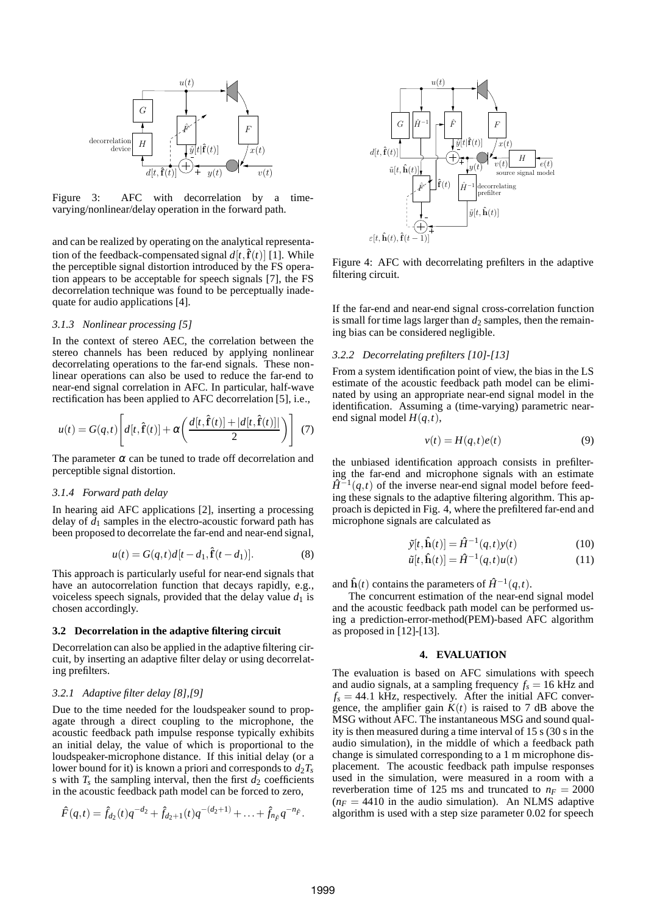

Figure 3: AFC with decorrelation by a timevarying/nonlinear/delay operation in the forward path.

and can be realized by operating on the analytical representation of the feedback-compensated signal  $d[t, \hat{f}(t)]$  [1]. While the perceptible signal distortion introduced by the FS operation appears to be acceptable for speech signals [7], the FS decorrelation technique was found to be perceptually inadequate for audio applications [4].

# *3.1.3 Nonlinear processing [5]*

In the context of stereo AEC, the correlation between the stereo channels has been reduced by applying nonlinear decorrelating operations to the far-end signals. These nonlinear operations can also be used to reduce the far-end to near-end signal correlation in AFC. In particular, half-wave rectification has been applied to AFC decorrelation [5], i.e.,

$$
u(t) = G(q,t) \left[ d[t, \hat{\mathbf{f}}(t)] + \alpha \left( \frac{d[t, \hat{\mathbf{f}}(t)] + |d[t, \hat{\mathbf{f}}(t)]|}{2} \right) \right]
$$
(7)

The parameter  $\alpha$  can be tuned to trade off decorrelation and perceptible signal distortion.

### *3.1.4 Forward path delay*

In hearing aid AFC applications [2], inserting a processing delay of  $d_1$  samples in the electro-acoustic forward path has been proposed to decorrelate the far-end and near-end signal,

$$
u(t) = G(q, t)d[t - d_1, \hat{\mathbf{f}}(t - d_1)].
$$
\n(8)

This approach is particularly useful for near-end signals that have an autocorrelation function that decays rapidly, e.g., voiceless speech signals, provided that the delay value  $d_1$  is chosen accordingly.

### **3.2 Decorrelation in the adaptive filtering circuit**

Decorrelation can also be applied in the adaptive filtering circuit, by inserting an adaptive filter delay or using decorrelating prefilters.

# *3.2.1 Adaptive filter delay [8],[9]*

Due to the time needed for the loudspeaker sound to propagate through a direct coupling to the microphone, the acoustic feedback path impulse response typically exhibits an initial delay, the value of which is proportional to the loudspeaker-microphone distance. If this initial delay (or a lower bound for it) is known a priori and corresponds to  $d_2T_s$ is with  $T_s$  the sampling interval, then the first  $d_2$  coefficients in the acoustic feedback path model can be forced to zero,

$$
\hat{F}(q,t) = \hat{f}_{d_2}(t)q^{-d_2} + \hat{f}_{d_2+1}(t)q^{-(d_2+1)} + \ldots + \hat{f}_{n_{\hat{F}}}q^{-n_{\hat{F}}}.
$$



Figure 4: AFC with decorrelating prefilters in the adaptive filtering circuit.

If the far-end and near-end signal cross-correlation function is small for time lags larger than  $d_2$  samples, then the remaining bias can be considered negligible.

#### *3.2.2 Decorrelating prefilters [10]-[13]*

From a system identification point of view, the bias in the LS estimate of the acoustic feedback path model can be eliminated by using an appropriate near-end signal model in the identification. Assuming a (time-varying) parametric nearend signal model  $H(q,t)$ ,

$$
v(t) = H(q, t)e(t)
$$
\n(9)

the unbiased identification approach consists in prefiltering the far-end and microphone signals with an estimate  $\hat{H}^{-1}(q,t)$  of the inverse near-end signal model before feeding these signals to the adaptive filtering algorithm. This approach is depicted in Fig. 4, where the prefiltered far-end and microphone signals are calculated as

$$
\tilde{y}[t, \hat{\mathbf{h}}(t)] = \hat{H}^{-1}(q, t)y(t)
$$
\n(10)

$$
\tilde{u}[t,\hat{\mathbf{h}}(t)] = \hat{H}^{-1}(q,t)u(t) \tag{11}
$$

and  $\hat{h}(t)$  contains the parameters of  $\hat{H}^{-1}(q,t)$ .

The concurrent estimation of the near-end signal model and the acoustic feedback path model can be performed using a prediction-error-method(PEM)-based AFC algorithm as proposed in [12]-[13].

#### **4. EVALUATION**

The evaluation is based on AFC simulations with speech and audio signals, at a sampling frequency  $f_s = 16$  kHz and  $f_s = 44.1$  kHz, respectively. After the initial AFC convergence, the amplifier gain  $K(t)$  is raised to 7 dB above the MSG without AFC. The instantaneous MSG and sound quality is then measured during a time interval of 15 s (30 s in the audio simulation), in the middle of which a feedback path change is simulated corresponding to a 1 m microphone displacement. The acoustic feedback path impulse responses used in the simulation, were measured in a room with a reverberation time of 125 ms and truncated to  $n_F = 2000$  $(n_F = 4410)$  in the audio simulation). An NLMS adaptive algorithm is used with a step size parameter 0.02 for speech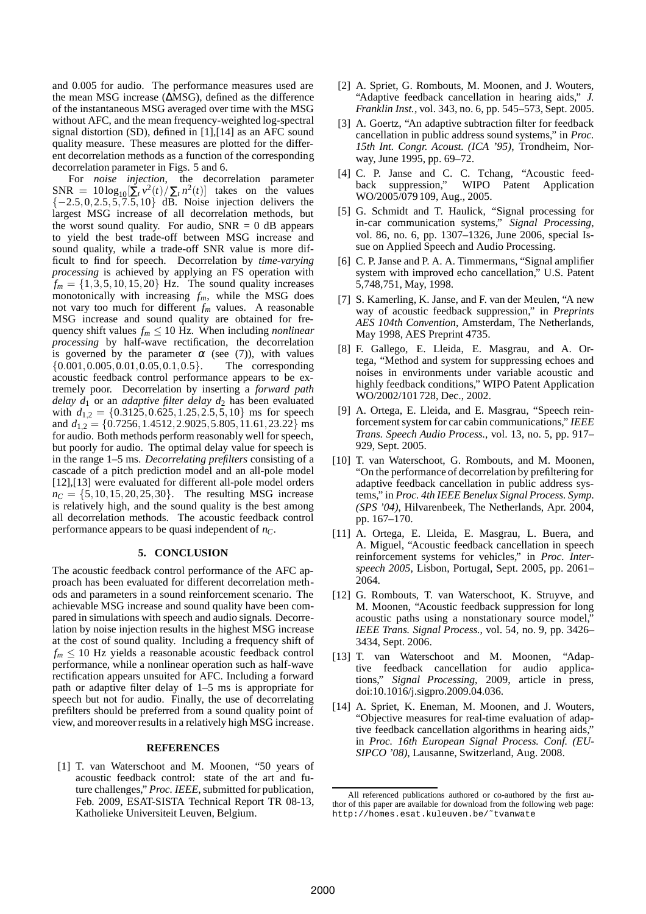and 0.005 for audio. The performance measures used are the mean MSG increase (∆MSG), defined as the difference of the instantaneous MSG averaged over time with the MSG without AFC, and the mean frequency-weighted log-spectral signal distortion (SD), defined in [1],[14] as an AFC sound quality measure. These measures are plotted for the different decorrelation methods as a function of the corresponding decorrelation parameter in Figs. 5 and 6.

For *noise injection*, the decorrelation parameter  $SNR = 10 \log_{10} \left[\sum_{t} v^2(t) / \sum_{t} n^2(t)\right]$  takes on the values  $\{-2.5,0,2.5,5,7.5,10\}$  dB. Noise injection delivers the largest MSG increase of all decorrelation methods, but the worst sound quality. For audio,  $SNR = 0$  dB appears to yield the best trade-off between MSG increase and sound quality, while a trade-off SNR value is more difficult to find for speech. Decorrelation by *time-varying processing* is achieved by applying an FS operation with  $f_m = \{1,3,5,10,15,20\}$  Hz. The sound quality increases monotonically with increasing *fm*, while the MSG does not vary too much for different *f<sup>m</sup>* values. A reasonable MSG increase and sound quality are obtained for frequency shift values  $f_m \leq 10$  Hz. When including *nonlinear processing* by half-wave rectification, the decorrelation is governed by the parameter  $\alpha$  (see (7)), with values {0.001,0.005,0.01,0.05,0.1,0.5}. The corresponding acoustic feedback control performance appears to be extremely poor. Decorrelation by inserting a *forward path delay*  $d_1$  or an *adaptive filter delay*  $d_2$  has been evaluated with  $d_{1,2} = \{0.3125, 0.625, 1.25, 2.5, 5, 10\}$  ms for speech and  $d_{1,2} = \{0.7256, 1.4512, 2.9025, 5.805, 11.61, 23.22\}$  ms for audio. Both methods perform reasonably well for speech, but poorly for audio. The optimal delay value for speech is in the range 1–5 ms. *Decorrelating prefilters* consisting of a cascade of a pitch prediction model and an all-pole model [12],[13] were evaluated for different all-pole model orders  $n_C = \{5, 10, 15, 20, 25, 30\}$ . The resulting MSG increase is relatively high, and the sound quality is the best among all decorrelation methods. The acoustic feedback control performance appears to be quasi independent of *nC*.

# **5. CONCLUSION**

The acoustic feedback control performance of the AFC approach has been evaluated for different decorrelation methods and parameters in a sound reinforcement scenario. The achievable MSG increase and sound quality have been compared in simulations with speech and audio signals. Decorrelation by noise injection results in the highest MSG increase at the cost of sound quality. Including a frequency shift of  $f_m \leq 10$  Hz yields a reasonable acoustic feedback control performance, while a nonlinear operation such as half-wave rectification appears unsuited for AFC. Including a forward path or adaptive filter delay of 1–5 ms is appropriate for speech but not for audio. Finally, the use of decorrelating prefilters should be preferred from a sound quality point of view, and moreover results in a relatively high MSG increase.

#### **REFERENCES**

[1] T. van Waterschoot and M. Moonen, "50 years of acoustic feedback control: state of the art and future challenges," *Proc. IEEE*, submitted for publication, Feb. 2009, ESAT-SISTA Technical Report TR 08-13, Katholieke Universiteit Leuven, Belgium.

- [2] A. Spriet, G. Rombouts, M. Moonen, and J. Wouters, "Adaptive feedback cancellation in hearing aids," *J. Franklin Inst.*, vol. 343, no. 6, pp. 545–573, Sept. 2005.
- [3] A. Goertz, "An adaptive subtraction filter for feedback cancellation in public address sound systems," in *Proc. 15th Int. Congr. Acoust. (ICA '95)*, Trondheim, Norway, June 1995, pp. 69–72.
- [4] C. P. Janse and C. C. Tchang, "Acoustic feedback suppression," WIPO Patent Application WO/2005/079 109, Aug., 2005.
- [5] G. Schmidt and T. Haulick, "Signal processing for in-car communication systems," *Signal Processing*, vol. 86, no. 6, pp. 1307–1326, June 2006, special Issue on Applied Speech and Audio Processing.
- [6] C. P. Janse and P. A. A. Timmermans, "Signal amplifier system with improved echo cancellation," U.S. Patent 5,748,751, May, 1998.
- [7] S. Kamerling, K. Janse, and F. van der Meulen, "A new way of acoustic feedback suppression," in *Preprints AES 104th Convention*, Amsterdam, The Netherlands, May 1998, AES Preprint 4735.
- [8] F. Gallego, E. Lleida, E. Masgrau, and A. Ortega, "Method and system for suppressing echoes and noises in environments under variable acoustic and highly feedback conditions," WIPO Patent Application WO/2002/101 728, Dec., 2002.
- [9] A. Ortega, E. Lleida, and E. Masgrau, "Speech reinforcement system for car cabin communications," *IEEE Trans. Speech Audio Process.*, vol. 13, no. 5, pp. 917– 929, Sept. 2005.
- [10] T. van Waterschoot, G. Rombouts, and M. Moonen, "On the performance of decorrelation by prefiltering for adaptive feedback cancellation in public address systems," in *Proc. 4th IEEE Benelux Signal Process. Symp. (SPS '04)*, Hilvarenbeek, The Netherlands, Apr. 2004, pp. 167–170.
- [11] A. Ortega, E. Lleida, E. Masgrau, L. Buera, and A. Miguel, "Acoustic feedback cancellation in speech reinforcement systems for vehicles," in *Proc. Interspeech 2005*, Lisbon, Portugal, Sept. 2005, pp. 2061– 2064.
- [12] G. Rombouts, T. van Waterschoot, K. Struyve, and M. Moonen, "Acoustic feedback suppression for long acoustic paths using a nonstationary source model, *IEEE Trans. Signal Process.*, vol. 54, no. 9, pp. 3426– 3434, Sept. 2006.
- [13] T. van Waterschoot and M. Moonen, "Adaptive feedback cancellation for audio applications," *Signal Processing*, 2009, article in press, doi:10.1016/j.sigpro.2009.04.036.
- [14] A. Spriet, K. Eneman, M. Moonen, and J. Wouters, "Objective measures for real-time evaluation of adaptive feedback cancellation algorithms in hearing aids," in *Proc. 16th European Signal Process. Conf. (EU-SIPCO '08)*, Lausanne, Switzerland, Aug. 2008.

All referenced publications authored or co-authored by the first author of this paper are available for download from the following web page: http://homes.esat.kuleuven.be/˜tvanwate